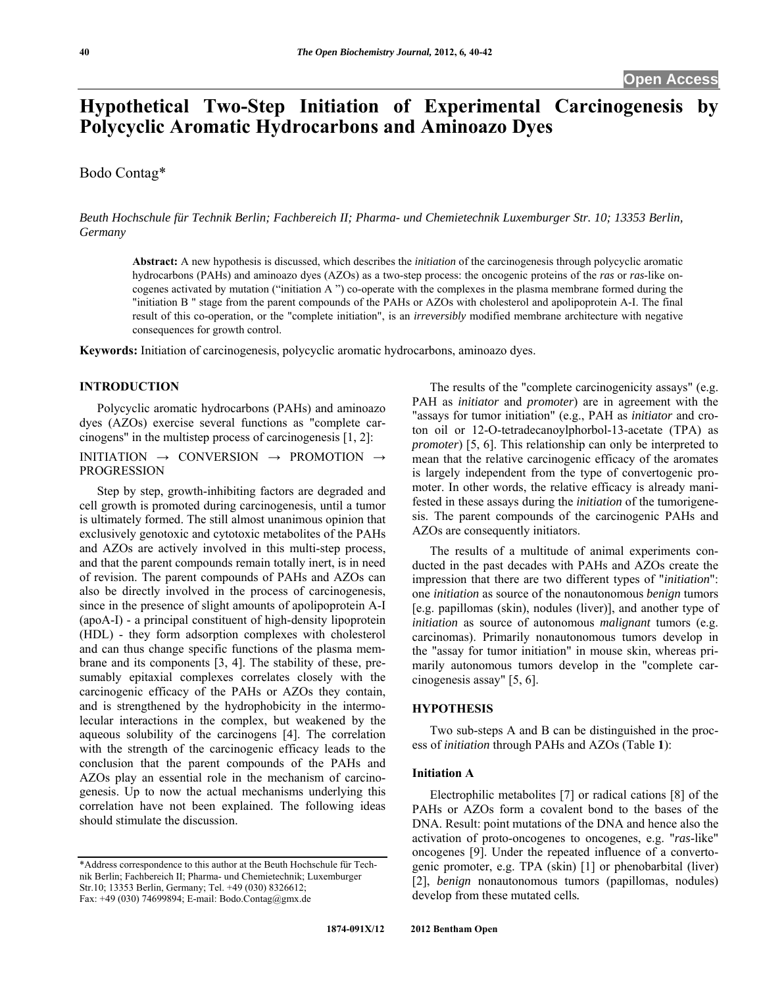# **Hypothetical Two-Step Initiation of Experimental Carcinogenesis by Polycyclic Aromatic Hydrocarbons and Aminoazo Dyes**

# Bodo Contag\*

*Beuth Hochschule für Technik Berlin; Fachbereich II; Pharma- und Chemietechnik Luxemburger Str. 10; 13353 Berlin, Germany*

**Abstract:** A new hypothesis is discussed, which describes the *initiation* of the carcinogenesis through polycyclic aromatic hydrocarbons (PAHs) and aminoazo dyes (AZOs) as a two-step process: the oncogenic proteins of the *ras* or *ras*-like oncogenes activated by mutation ("initiation A ") co-operate with the complexes in the plasma membrane formed during the "initiation B " stage from the parent compounds of the PAHs or AZOs with cholesterol and apolipoprotein A-I. The final result of this co-operation, or the "complete initiation", is an *irreversibly* modified membrane architecture with negative consequences for growth control.

**Keywords:** Initiation of carcinogenesis, polycyclic aromatic hydrocarbons, aminoazo dyes.

#### **INTRODUCTION**

 Polycyclic aromatic hydrocarbons (PAHs) and aminoazo dyes (AZOs) exercise several functions as "complete carcinogens" in the multistep process of carcinogenesis [1, 2]:

# INITIATION → CONVERSION → PROMOTION → PROGRESSION

 Step by step, growth-inhibiting factors are degraded and cell growth is promoted during carcinogenesis, until a tumor is ultimately formed. The still almost unanimous opinion that exclusively genotoxic and cytotoxic metabolites of the PAHs and AZOs are actively involved in this multi-step process, and that the parent compounds remain totally inert, is in need of revision. The parent compounds of PAHs and AZOs can also be directly involved in the process of carcinogenesis, since in the presence of slight amounts of apolipoprotein A-I (apoA-I) - a principal constituent of high-density lipoprotein (HDL) - they form adsorption complexes with cholesterol and can thus change specific functions of the plasma membrane and its components [3, 4]. The stability of these, presumably epitaxial complexes correlates closely with the carcinogenic efficacy of the PAHs or AZOs they contain, and is strengthened by the hydrophobicity in the intermolecular interactions in the complex, but weakened by the aqueous solubility of the carcinogens [4]. The correlation with the strength of the carcinogenic efficacy leads to the conclusion that the parent compounds of the PAHs and AZOs play an essential role in the mechanism of carcinogenesis. Up to now the actual mechanisms underlying this correlation have not been explained. The following ideas should stimulate the discussion.

 The results of the "complete carcinogenicity assays" (e.g. PAH as *initiator* and *promoter*) are in agreement with the "assays for tumor initiation" (e.g., PAH as *initiator* and croton oil or 12-O-tetradecanoylphorbol-13-acetate (TPA) as *promoter*) [5, 6]. This relationship can only be interpreted to mean that the relative carcinogenic efficacy of the aromates is largely independent from the type of convertogenic promoter. In other words, the relative efficacy is already manifested in these assays during the *initiation* of the tumorigenesis. The parent compounds of the carcinogenic PAHs and AZOs are consequently initiators.

 The results of a multitude of animal experiments conducted in the past decades with PAHs and AZOs create the impression that there are two different types of "*initiation*": one *initiation* as source of the nonautonomous *benign* tumors [e.g. papillomas (skin), nodules (liver)], and another type of *initiation* as source of autonomous *malignant* tumors (e.g. carcinomas). Primarily nonautonomous tumors develop in the "assay for tumor initiation" in mouse skin, whereas primarily autonomous tumors develop in the "complete carcinogenesis assay" [5, 6].

#### **HYPOTHESIS**

 Two sub-steps A and B can be distinguished in the process of *initiation* through PAHs and AZOs (Table **1**):

### **Initiation A**

 Electrophilic metabolites [7] or radical cations [8] of the PAHs or AZOs form a covalent bond to the bases of the DNA. Result: point mutations of the DNA and hence also the activation of proto-oncogenes to oncogenes, e.g. "*ras*-like" oncogenes [9]. Under the repeated influence of a convertogenic promoter, e.g. TPA (skin) [1] or phenobarbital (liver) [2], *benign* nonautonomous tumors (papillomas, nodules) develop from these mutated cells*.* 

<sup>\*</sup>Address correspondence to this author at the Beuth Hochschule für Technik Berlin; Fachbereich II; Pharma- und Chemietechnik; Luxemburger Str.10; 13353 Berlin, Germany; Tel. +49 (030) 8326612; Fax: +49 (030) 74699894; E-mail: Bodo.Contag@gmx.de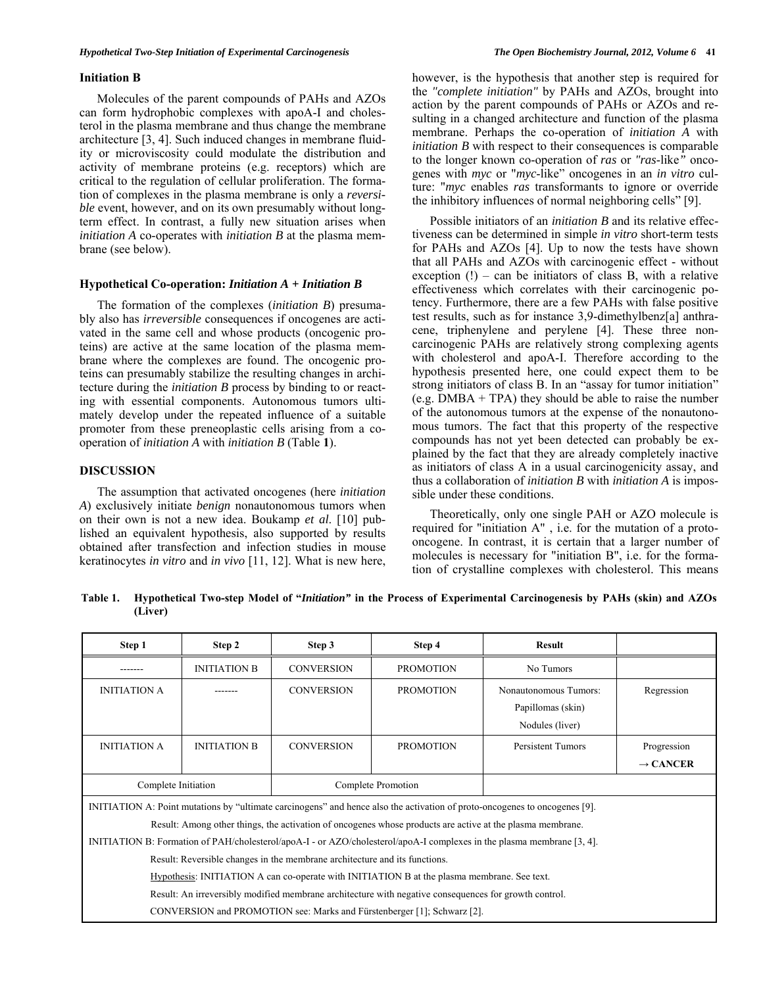#### **Initiation B**

 Molecules of the parent compounds of PAHs and AZOs can form hydrophobic complexes with apoA-I and cholesterol in the plasma membrane and thus change the membrane architecture [3, 4]. Such induced changes in membrane fluidity or microviscosity could modulate the distribution and activity of membrane proteins (e.g. receptors) which are critical to the regulation of cellular proliferation. The formation of complexes in the plasma membrane is only a *reversible* event, however, and on its own presumably without longterm effect. In contrast, a fully new situation arises when *initiation A* co-operates with *initiation B* at the plasma membrane (see below).

#### **Hypothetical Co-operation:** *Initiation A + Initiation B*

 The formation of the complexes (*initiation B*) presumably also has *irreversible* consequences if oncogenes are activated in the same cell and whose products (oncogenic proteins) are active at the same location of the plasma membrane where the complexes are found. The oncogenic proteins can presumably stabilize the resulting changes in architecture during the *initiation B* process by binding to or reacting with essential components. Autonomous tumors ultimately develop under the repeated influence of a suitable promoter from these preneoplastic cells arising from a cooperation of *initiation A* with *initiation B* (Table **1**).

# **DISCUSSION**

 The assumption that activated oncogenes (here *initiation A*) exclusively initiate *benign* nonautonomous tumors when on their own is not a new idea. Boukamp *et al*. [10] published an equivalent hypothesis, also supported by results obtained after transfection and infection studies in mouse keratinocytes *in vitro* and *in vivo* [11, 12]. What is new here, however, is the hypothesis that another step is required for the *"complete initiation"* by PAHs and AZOs, brought into action by the parent compounds of PAHs or AZOs and resulting in a changed architecture and function of the plasma membrane. Perhaps the co-operation of *initiation A* with *initiation B* with respect to their consequences is comparable to the longer known co-operation of *ras* or *"ras*-like*"* oncogenes with *myc* or "*myc*-like" oncogenes in an *in vitro* culture: "*myc* enables *ras* transformants to ignore or override the inhibitory influences of normal neighboring cells" [9].

 Possible initiators of an *initiation B* and its relative effectiveness can be determined in simple *in vitro* short-term tests for PAHs and AZOs [4]. Up to now the tests have shown that all PAHs and AZOs with carcinogenic effect - without exception  $(!)$  – can be initiators of class B, with a relative effectiveness which correlates with their carcinogenic potency. Furthermore, there are a few PAHs with false positive test results, such as for instance 3,9-dimethylbenz[a] anthracene, triphenylene and perylene [4]. These three noncarcinogenic PAHs are relatively strong complexing agents with cholesterol and apoA-I. Therefore according to the hypothesis presented here, one could expect them to be strong initiators of class B. In an "assay for tumor initiation" (e.g. DMBA + TPA) they should be able to raise the number of the autonomous tumors at the expense of the nonautonomous tumors. The fact that this property of the respective compounds has not yet been detected can probably be explained by the fact that they are already completely inactive as initiators of class A in a usual carcinogenicity assay, and thus a collaboration of *initiation B* with *initiation A* is impossible under these conditions.

 Theoretically, only one single PAH or AZO molecule is required for "initiation A" , i.e. for the mutation of a protooncogene. In contrast, it is certain that a larger number of molecules is necessary for "initiation B", i.e. for the formation of crystalline complexes with cholesterol. This means

**Table 1. Hypothetical Two-step Model of "***Initiation"* **in the Process of Experimental Carcinogenesis by PAHs (skin) and AZOs (Liver)** 

| Step 1                                                                                                                     | Step 2              | Step 3             | Step 4           | <b>Result</b>                                                 |                      |
|----------------------------------------------------------------------------------------------------------------------------|---------------------|--------------------|------------------|---------------------------------------------------------------|----------------------|
|                                                                                                                            | <b>INITIATION B</b> | <b>CONVERSION</b>  | <b>PROMOTION</b> | No Tumors                                                     |                      |
| <b>INITIATION A</b>                                                                                                        |                     | <b>CONVERSION</b>  | <b>PROMOTION</b> | Nonautonomous Tumors:<br>Papillomas (skin)<br>Nodules (liver) | Regression           |
| <b>INITIATION A</b>                                                                                                        | <b>INITIATION B</b> | <b>CONVERSION</b>  | <b>PROMOTION</b> | Persistent Tumors                                             | Progression          |
|                                                                                                                            |                     |                    |                  |                                                               | $\rightarrow$ CANCER |
| Complete Initiation                                                                                                        |                     | Complete Promotion |                  |                                                               |                      |
| INITIATION A: Point mutations by "ultimate carcinogens" and hence also the activation of proto-oncogenes to oncogenes [9]. |                     |                    |                  |                                                               |                      |
| Result: Among other things, the activation of oncogenes whose products are active at the plasma membrane.                  |                     |                    |                  |                                                               |                      |
| INITIATION B: Formation of PAH/cholesterol/apoA-I - or AZO/cholesterol/apoA-I complexes in the plasma membrane [3, 4].     |                     |                    |                  |                                                               |                      |
| Result: Reversible changes in the membrane architecture and its functions.                                                 |                     |                    |                  |                                                               |                      |
| Hypothesis: INITIATION A can co-operate with INITIATION B at the plasma membrane. See text.                                |                     |                    |                  |                                                               |                      |
| Result: An irreversibly modified membrane architecture with negative consequences for growth control.                      |                     |                    |                  |                                                               |                      |
| CONVERSION and PROMOTION see: Marks and Fürstenberger [1]; Schwarz [2].                                                    |                     |                    |                  |                                                               |                      |